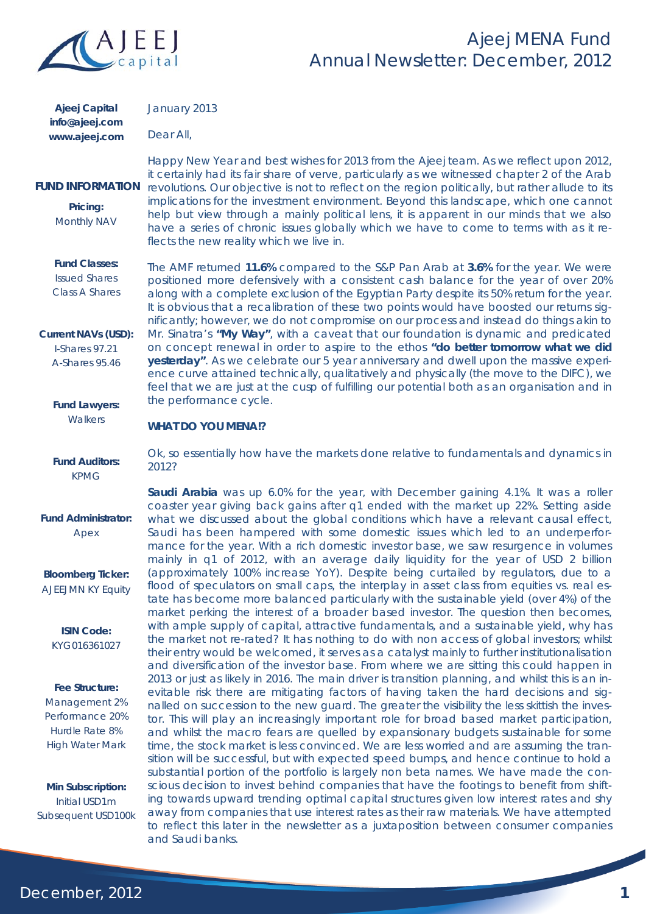

| Ajeej Capital  | J |
|----------------|---|
| info@ajeej.com |   |
| www.ajeej.com  | Е |

anuary 2013

Dear All,

## **FUND INFORMATION**

**Pricing:**  Monthly NAV

### **Fund Classes:**

Issued Shares Class A Shares

#### **Current NAVs (USD):**

I-Shares 97.21 A-Shares 95.46

## **Fund Lawyers:**

**Walkers** 

## **Fund Auditors:**  KPMG

## **Fund Administrator:**  Apex

**Bloomberg Ticker:**  AJEEJMN KY Equity

**ISIN Code:**  KYG016361027

## **Fee Structure:**  Management 2% Performance 20% Hurdle Rate 8% High Water Mark

**Min Subscription:**  Initial USD1m Subsequent USD100k

Happy New Year and best wishes for 2013 from the Ajeej team. As we reflect upon 2012, it certainly had its fair share of verve, particularly as we witnessed chapter 2 of the Arab revolutions. Our objective is not to reflect on the region politically, but rather allude to its implications for the investment environment. Beyond this landscape, which one cannot help but view through a mainly political lens, it is apparent in our minds that we also have a series of chronic issues globally which we have to come to terms with as it reflects the new reality which we live in.

The AMF returned **11.6%** compared to the S&P Pan Arab at **3.6%** for the year. We were positioned more defensively with a consistent cash balance for the year of over 20% along with a complete exclusion of the Egyptian Party despite its 50% return for the year. It is obvious that a recalibration of these two points would have boosted our returns significantly; however, we do not compromise on our process and instead do things akin to Mr. Sinatra's **"My Way"**, with a caveat that our foundation is dynamic and predicated on concept renewal in order to aspire to the ethos *"do better tomorrow what we did*  **yesterday**". As we celebrate our 5 year anniversary and dwell upon the massive experience curve attained technically, qualitatively and physically (the move to the DIFC), we feel that we are just at the cusp of fulfilling our potential both as an organisation and in the performance cycle.

## **WHAT DO YOU MENA!?**

Ok, so essentially how have the markets done relative to fundamentals and dynamics in 2012?

**Saudi Arabia** was up 6.0% for the year, with December gaining 4.1%. It was a roller coaster year giving back gains after q1 ended with the market up 22%. Setting aside what we discussed about the global conditions which have a relevant causal effect, Saudi has been hampered with some domestic issues which led to an underperformance for the year. With a rich domestic investor base, we saw resurgence in volumes mainly in q1 of 2012, with an average daily liquidity for the year of USD 2 billion (approximately 100% increase YoY). Despite being curtailed by regulators, due to a flood of speculators on small caps, the interplay in asset class from equities vs. real estate has become more balanced particularly with the sustainable yield (over 4%) of the market perking the interest of a broader based investor. The question then becomes, with ample supply of capital, attractive fundamentals, and a sustainable yield, why has the market not re-rated? It has nothing to do with non access of global investors; whilst their entry would be welcomed, it serves as a catalyst mainly to further institutionalisation and diversification of the investor base. From where we are sitting this could happen in 2013 or just as likely in 2016. The main driver is transition planning, and whilst this is an inevitable risk there are mitigating factors of having taken the hard decisions and signalled on succession to the new guard. The greater the visibility the less skittish the investor. This will play an increasingly important role for broad based market participation, and whilst the macro fears are quelled by expansionary budgets sustainable for some time, the stock market is less convinced. We are less worried and are assuming the transition will be successful, but with expected speed bumps, and hence continue to hold a substantial portion of the portfolio is largely non beta names. We have made the conscious decision to invest behind companies that have the footings to benefit from shifting towards upward trending optimal capital structures given low interest rates and shy away from companies that use interest rates as their raw materials. We have attempted to reflect this later in the newsletter as a juxtaposition between consumer companies and Saudi banks.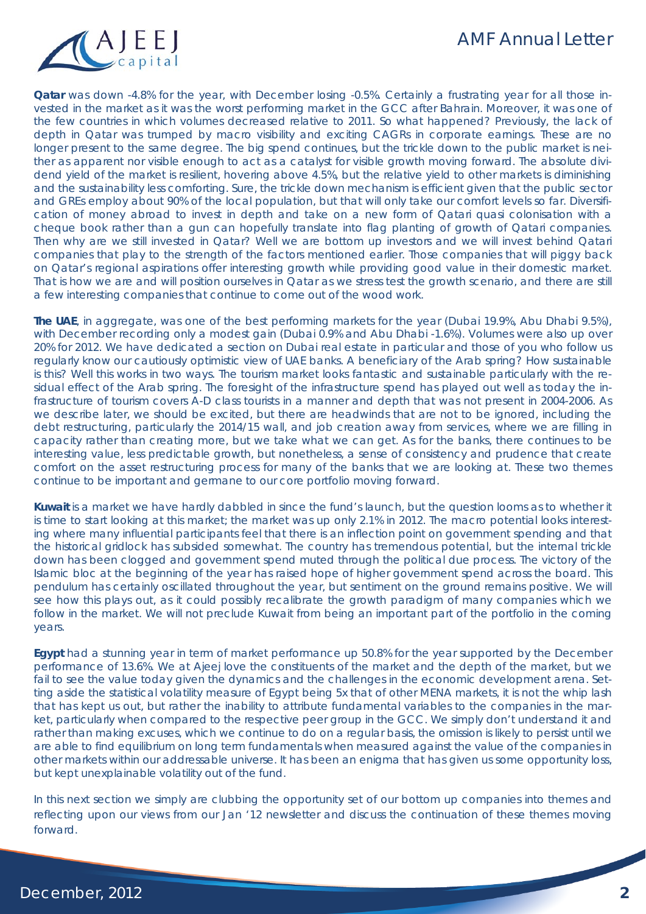## AMF Annual Letter



**Qatar** was down -4.8% for the year, with December losing -0.5%. Certainly a frustrating year for all those invested in the market as it was the worst performing market in the GCC after Bahrain. Moreover, it was one of the few countries in which volumes decreased relative to 2011. So what happened? Previously, the lack of depth in Qatar was trumped by macro visibility and exciting CAGRs in corporate earnings. These are no longer present to the same degree. The big spend continues, but the trickle down to the public market is neither as apparent nor visible enough to act as a catalyst for visible growth moving forward. The absolute dividend yield of the market is resilient, hovering above 4.5%, but the relative yield to other markets is diminishing and the sustainability less comforting. Sure, the trickle down mechanism is efficient given that the public sector and GREs employ about 90% of the local population, but that will only take our comfort levels so far. Diversification of money abroad to invest in depth and take on a new form of Qatari quasi colonisation with a cheque book rather than a gun can hopefully translate into flag planting of growth of Qatari companies. Then why are we still invested in Qatar? Well we are bottom up investors and we will invest behind Qatari companies that play to the strength of the factors mentioned earlier. Those companies that will piggy back on Qatar's regional aspirations offer interesting growth while providing good value in their domestic market. That is how we are and will position ourselves in Qatar as we stress test the growth scenario, and there are still a few interesting companies that continue to come out of the wood work.

**The UAE**, in aggregate, was one of the best performing markets for the year (Dubai 19.9%, Abu Dhabi 9.5%), with December recording only a modest gain (Dubai 0.9% and Abu Dhabi -1.6%). Volumes were also up over 20% for 2012. We have dedicated a section on Dubai real estate in particular and those of you who follow us regularly know our cautiously optimistic view of UAE banks. A beneficiary of the Arab spring? How sustainable is this? Well this works in two ways. The tourism market looks fantastic and sustainable particularly with the residual effect of the Arab spring. The foresight of the infrastructure spend has played out well as today the infrastructure of tourism covers A-D class tourists in a manner and depth that was not present in 2004-2006. As we describe later, we should be excited, but there are headwinds that are not to be ignored, including the debt restructuring, particularly the 2014/15 wall, and job creation away from services, where we are filling in capacity rather than creating more, but we take what we can get. As for the banks, there continues to be interesting value, less predictable growth, but nonetheless, a sense of consistency and prudence that create comfort on the asset restructuring process for many of the banks that we are looking at. These two themes continue to be important and germane to our core portfolio moving forward.

**Kuwait** is a market we have hardly dabbled in since the fund's launch, but the question looms as to whether it is time to start looking at this market; the market was up only 2.1% in 2012. The macro potential looks interesting where many influential participants feel that there is an inflection point on government spending and that the historical gridlock has subsided somewhat. The country has tremendous potential, but the internal trickle down has been clogged and government spend muted through the political due process. The victory of the Islamic bloc at the beginning of the year has raised hope of higher government spend across the board. This pendulum has certainly oscillated throughout the year, but sentiment on the ground remains positive. We will see how this plays out, as it could possibly recalibrate the growth paradigm of many companies which we follow in the market. We will not preclude Kuwait from being an important part of the portfolio in the coming years.

**Egypt** had a stunning year in term of market performance up 50.8% for the year supported by the December performance of 13.6%. We at Ajeej love the constituents of the market and the depth of the market, but we fail to see the value today given the dynamics and the challenges in the economic development arena. Setting aside the statistical volatility measure of Egypt being 5x that of other MENA markets, it is not the whip lash that has kept us out, but rather the inability to attribute fundamental variables to the companies in the market, particularly when compared to the respective peer group in the GCC. We simply don't understand it and rather than making excuses, which we continue to do on a regular basis, the omission is likely to persist until we are able to find equilibrium on long term fundamentals when measured against the value of the companies in other markets within our addressable universe. It has been an enigma that has given us some opportunity loss, but kept unexplainable volatility out of the fund.

In this next section we simply are clubbing the opportunity set of our bottom up companies into themes and reflecting upon our views from our Jan '12 newsletter and discuss the continuation of these themes moving forward.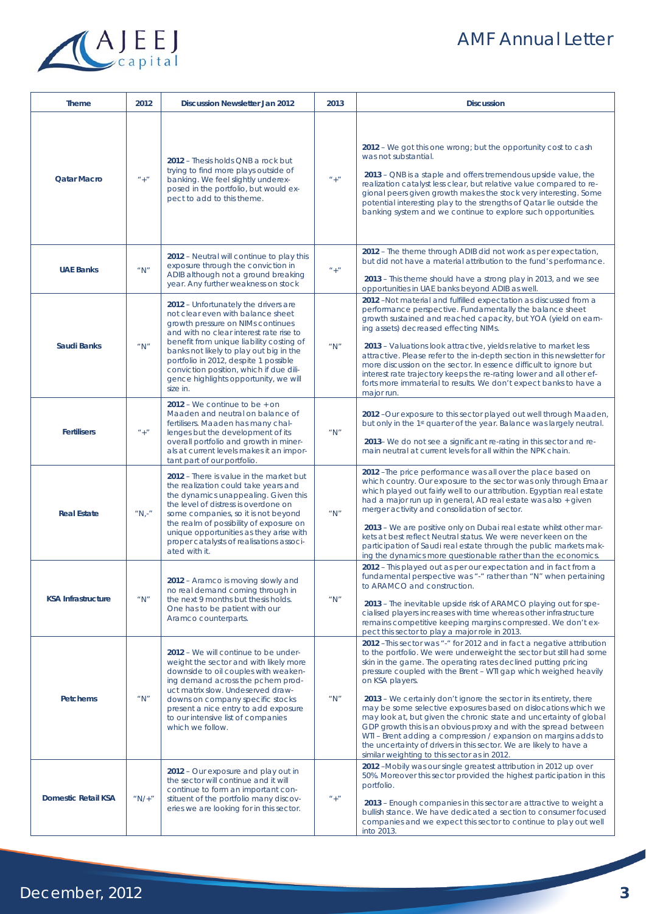# AMF Annual Letter



| <b>Theme</b>               | 2012      | <b>Discussion Newsletter Jan 2012</b>                                                                                                                                                                                                                                                                                                                                                     | 2013     | <b>Discussion</b>                                                                                                                                                                                                                                                                                                                                                                                                                                                                                                                                                                                                                                                                                                                                                               |  |  |  |  |
|----------------------------|-----------|-------------------------------------------------------------------------------------------------------------------------------------------------------------------------------------------------------------------------------------------------------------------------------------------------------------------------------------------------------------------------------------------|----------|---------------------------------------------------------------------------------------------------------------------------------------------------------------------------------------------------------------------------------------------------------------------------------------------------------------------------------------------------------------------------------------------------------------------------------------------------------------------------------------------------------------------------------------------------------------------------------------------------------------------------------------------------------------------------------------------------------------------------------------------------------------------------------|--|--|--|--|
| <b>Qatar Macro</b>         | $'' +$    | 2012 – Thesis holds QNB a rock but<br>trying to find more plays outside of<br>banking. We feel slightly underex-<br>posed in the portfolio, but would ex-<br>pect to add to this theme.                                                                                                                                                                                                   | $'' +''$ | 2012 - We got this one wrong; but the opportunity cost to cash<br>was not substantial.<br>2013 – QNB is a staple and offers tremendous upside value, the<br>realization catalyst less clear, but relative value compared to re-<br>gional peers given growth makes the stock very interesting. Some<br>potential interesting play to the strengths of Qatar lie outside the<br>banking system and we continue to explore such opportunities.                                                                                                                                                                                                                                                                                                                                    |  |  |  |  |
| <b>UAE Banks</b>           | '' N''    | 2012 - Neutral will continue to play this<br>exposure through the conviction in<br>ADIB although not a ground breaking<br>year. Any further weakness on stock                                                                                                                                                                                                                             | $'' +''$ | 2012 - The theme through ADIB did not work as per expectation,<br>but did not have a material attribution to the fund's performance.<br>2013 - This theme should have a strong play in 2013, and we see<br>opportunities in UAE banks beyond ADIB as well.                                                                                                                                                                                                                                                                                                                                                                                                                                                                                                                      |  |  |  |  |
| <b>Saudi Banks</b>         | " $N$ "   | 2012 - Unfortunately the drivers are<br>not clear even with balance sheet<br>growth pressure on NIMs continues<br>and with no clear interest rate rise to<br>benefit from unique liability costing of<br>banks not likely to play out big in the<br>portfolio in 2012, despite 1 possible<br>conviction position, which if due dili-<br>gence highlights opportunity, we will<br>size in. | " $N$ "  | 2012 -Not material and fulfilled expectation as discussed from a<br>performance perspective. Fundamentally the balance sheet<br>growth sustained and reached capacity, but YOA (yield on earn-<br>ing assets) decreased effecting NIMs.<br>2013 - Valuations look attractive, yields relative to market less<br>attractive. Please refer to the in-depth section in this newsletter for<br>more discussion on the sector. In essence difficult to ignore but<br>interest rate trajectory keeps the re-rating lower and all other ef-<br>forts more immaterial to results. We don't expect banks to have a<br>major run.                                                                                                                                                         |  |  |  |  |
| <b>Fertilisers</b>         | $" +"$    | $2012$ – We continue to be $+$ on<br>Maaden and neutral on balance of<br>fertilisers. Maaden has many chal-<br>lenges but the development of its<br>overall portfolio and growth in miner-<br>als at current levels makes it an impor-<br>tant part of our portfolio.                                                                                                                     | " $N$ "  | 2012 -Our exposure to this sector played out well through Maaden,<br>but only in the 1 <sup>st</sup> quarter of the year. Balance was largely neutral.<br>2013-We do not see a significant re-rating in this sector and re-<br>main neutral at current levels for all within the NPK chain.                                                                                                                                                                                                                                                                                                                                                                                                                                                                                     |  |  |  |  |
| <b>Real Estate</b>         | $''N,-''$ | 2012 - There is value in the market but<br>the realization could take years and<br>the dynamics unappealing. Given this<br>the level of distress is overdone on<br>some companies, so it is not beyond<br>the realm of possibility of exposure on<br>unique opportunities as they arise with<br>proper catalysts of realisations associ-<br>ated with it.                                 | " $N$ "  | 2012 - The price performance was all over the place based on<br>which country. Our exposure to the sector was only through Emaar<br>which played out fairly well to our attribution. Egyptian real estate<br>had a major run up in general, AD real estate was also + given<br>merger activity and consolidation of sector.<br>2013 – We are positive only on Dubai real estate whilst other mar-<br>kets at best reflect Neutral status. We were never keen on the<br>participation of Saudi real estate through the public markets mak-<br>ing the dynamics more questionable rather than the economics.                                                                                                                                                                      |  |  |  |  |
| <b>KSA Infrastructure</b>  | " $N$ "   | 2012 - Aramco is moving slowly and<br>no real demand coming through in<br>the next 9 months but thesis holds.<br>One has to be patient with our<br>Aramco counterparts.                                                                                                                                                                                                                   | " $N$ "  | 2012 - This played out as per our expectation and in fact from a<br>fundamental perspective was "-" rather than "N" when pertaining<br>to ARAMCO and construction.<br>2013 - The inevitable upside risk of ARAMCO playing out for spe-<br>cialised players increases with time whereas other infrastructure<br>remains competitive keeping margins compressed. We don't ex-<br>pect this sector to play a major role in 2013.                                                                                                                                                                                                                                                                                                                                                   |  |  |  |  |
| <b>Petchems</b>            | " $N$ "   | 2012 – We will continue to be under-<br>weight the sector and with likely more<br>downside to oil couples with weaken-<br>ing demand across the pchem prod-<br>uct matrix slow. Undeserved draw-<br>downs on company specific stocks<br>present a nice entry to add exposure<br>to our intensive list of companies<br>which we follow.                                                    | " $N$ "  | 2012 - This sector was "-" for 2012 and in fact a negative attribution<br>to the portfolio. We were underweight the sector but still had some<br>skin in the game. The operating rates declined putting pricing<br>pressure coupled with the Brent - WTI gap which weighed heavily<br>on KSA players.<br>2013 – We certainly don't ignore the sector in its entirety, there<br>may be some selective exposures based on dislocations which we<br>may look at, but given the chronic state and uncertainty of global<br>GDP growth this is an obvious proxy and with the spread between<br>WTI - Brent adding a compression / expansion on margins adds to<br>the uncertainty of drivers in this sector. We are likely to have a<br>similar weighting to this sector as in 2012. |  |  |  |  |
| <b>Domestic Retail KSA</b> | " $N/$ +" | 2012 - Our exposure and play out in<br>the sector will continue and it will<br>continue to form an important con-<br>stituent of the portfolio many discov-<br>eries we are looking for in this sector.                                                                                                                                                                                   | $" +"$   | 2012 -Mobily was our single greatest attribution in 2012 up over<br>50%. Moreover this sector provided the highest participation in this<br>portfolio.<br>2013 - Enough companies in this sector are attractive to weight a<br>bullish stance. We have dedicated a section to consumer focused<br>companies and we expect this sector to continue to play out well<br>into 2013.                                                                                                                                                                                                                                                                                                                                                                                                |  |  |  |  |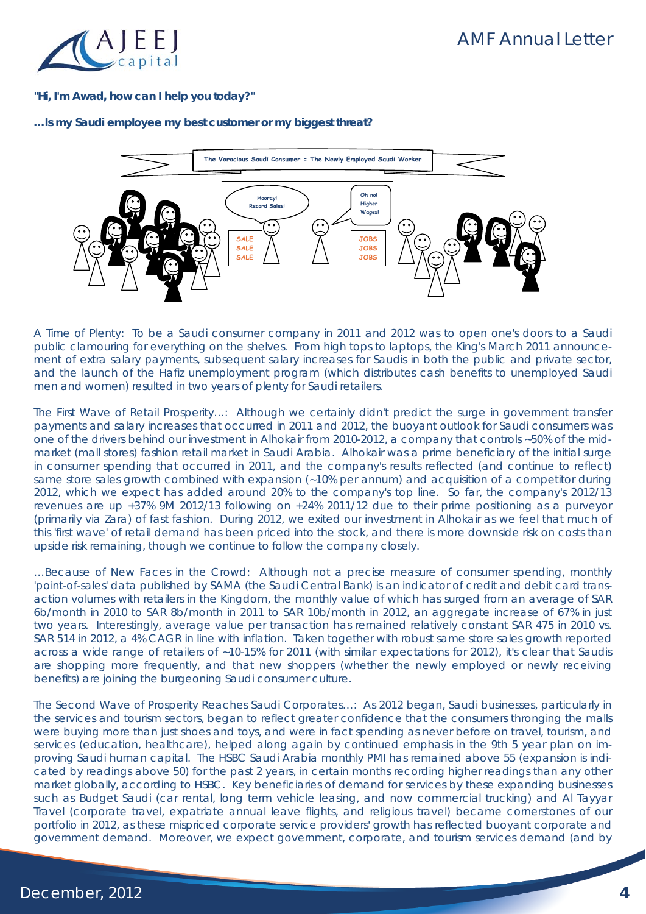

## **"Hi, I'm Awad, how can I help you today?"**

## **…Is my Saudi employee my best customer or my biggest threat?**



*A Time of Plenty*: To be a Saudi consumer company in 2011 and 2012 was to open one's doors to a Saudi public clamouring for everything on the shelves. From high tops to laptops, the King's March 2011 announcement of extra salary payments, subsequent salary increases for Saudis in both the public and private sector, and the launch of the Hafiz unemployment program (which distributes cash benefits to unemployed Saudi men and women) resulted in two years of plenty for Saudi retailers.

*The First Wave of Retail Prosperity…*: Although we certainly didn't predict the surge in government transfer payments and salary increases that occurred in 2011 and 2012, the buoyant outlook for Saudi consumers was one of the drivers behind our investment in Alhokair from 2010-2012, a company that controls ~50% of the midmarket (mall stores) fashion retail market in Saudi Arabia. Alhokair was a prime beneficiary of the initial surge in consumer spending that occurred in 2011, and the company's results reflected (and continue to reflect) same store sales growth combined with expansion (~10% per annum) and acquisition of a competitor during 2012, which we expect has added around 20% to the company's top line. So far, the company's 2012/13 revenues are up +37% 9M 2012/13 following on +24% 2011/12 due to their prime positioning as a purveyor (primarily via Zara) of fast fashion. During 2012, we exited our investment in Alhokair as we feel that much of this 'first wave' of retail demand has been priced into the stock, and there is more downside risk on costs than upside risk remaining, though we continue to follow the company closely.

*…Because of New Faces in the Crowd*: Although not a precise measure of consumer spending, monthly 'point-of-sales' data published by SAMA (the Saudi Central Bank) is an indicator of credit and debit card transaction volumes with retailers in the Kingdom, the monthly value of which has surged from an average of SAR 6b/month in 2010 to SAR 8b/month in 2011 to SAR 10b/month in 2012, an aggregate increase of 67% in just two years. Interestingly, average value per transaction has remained relatively constant SAR 475 in 2010 vs. SAR 514 in 2012, a 4% CAGR in line with inflation. Taken together with robust same store sales growth reported across a wide range of retailers of ~10-15% for 2011 (with similar expectations for 2012), it's clear that Saudis are shopping more frequently, and that new shoppers (whether the newly employed or newly receiving benefits) are joining the burgeoning Saudi consumer culture.

*The Second Wave of Prosperity Reaches Saudi Corporates…*: As 2012 began, Saudi businesses, particularly in the services and tourism sectors, began to reflect greater confidence that the consumers thronging the malls were buying more than just shoes and toys, and were in fact spending as never before on travel, tourism, and services (education, healthcare), helped along again by continued emphasis in the 9th 5 year plan on improving Saudi human capital. The HSBC Saudi Arabia monthly PMI has remained above 55 (expansion is indicated by readings above 50) for the past 2 years, in certain months recording higher readings than any other market globally, according to HSBC. Key beneficiaries of demand for services by these expanding businesses such as Budget Saudi (car rental, long term vehicle leasing, and now commercial trucking) and Al Tayyar Travel (corporate travel, expatriate annual leave flights, and religious travel) became cornerstones of our portfolio in 2012, as these mispriced corporate service providers' growth has reflected buoyant corporate and government demand. Moreover, we expect government, corporate, and tourism services demand (and by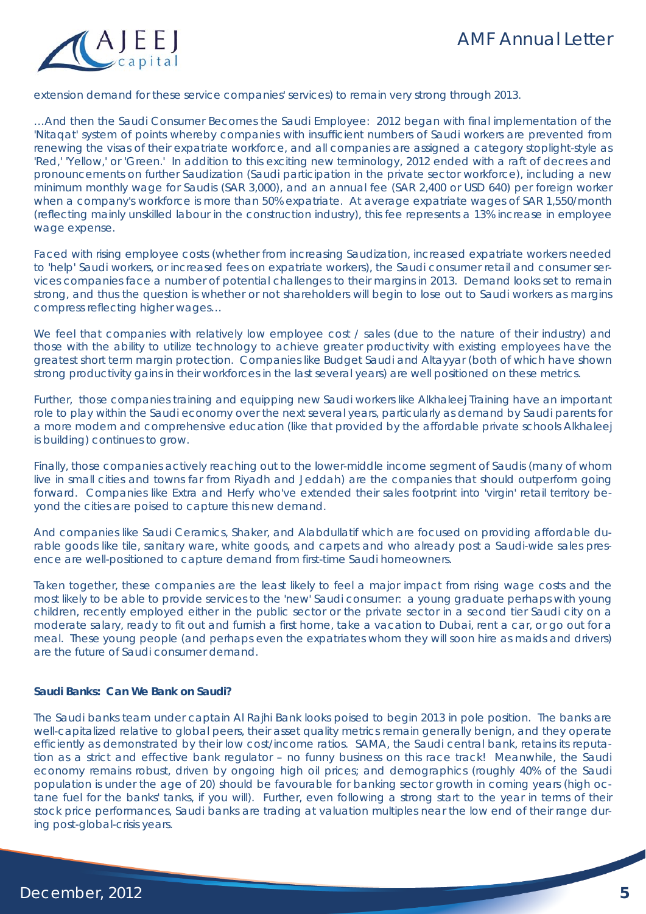

extension demand for these service companies' services) to remain very strong through 2013.

*…And then the Saudi Consumer Becomes the Saudi Employee*: 2012 began with final implementation of the 'Nitaqat' system of points whereby companies with insufficient numbers of Saudi workers are prevented from renewing the visas of their expatriate workforce, and all companies are assigned a category stoplight-style as 'Red,' 'Yellow,' or 'Green.' In addition to this exciting new terminology, 2012 ended with a raft of decrees and pronouncements on further Saudization (Saudi participation in the private sector workforce), including a new minimum monthly wage for Saudis (SAR 3,000), and an annual fee (SAR 2,400 or USD 640) per foreign worker when a company's workforce is more than 50% expatriate. At average expatriate wages of SAR 1,550/month (reflecting mainly unskilled labour in the construction industry), this fee represents a 13% increase in employee wage expense.

Faced with rising employee costs (whether from increasing Saudization, increased expatriate workers needed to 'help' Saudi workers, or increased fees on expatriate workers), the Saudi consumer retail and consumer services companies face a number of potential challenges to their margins in 2013. Demand looks set to remain strong, and thus the question is whether or not shareholders will begin to lose out to Saudi workers as margins compress reflecting higher wages…

We feel that companies with relatively low employee cost / sales (due to the nature of their industry) and those with the ability to utilize technology to achieve greater productivity with existing employees have the greatest short term margin protection. Companies like Budget Saudi and Altayyar (both of which have shown strong productivity gains in their workforces in the last several years) are well positioned on these metrics.

Further, those companies training and equipping new Saudi workers like Alkhaleej Training have an important role to play within the Saudi economy over the next several years, particularly as demand by Saudi parents for a more modern and comprehensive education (like that provided by the affordable private schools Alkhaleej is building) continues to grow.

Finally, those companies actively reaching out to the lower-middle income segment of Saudis (many of whom live in small cities and towns far from Riyadh and Jeddah) are the companies that should outperform going forward. Companies like Extra and Herfy who've extended their sales footprint into 'virgin' retail territory beyond the cities are poised to capture this new demand.

And companies like Saudi Ceramics, Shaker, and Alabdullatif which are focused on providing affordable durable goods like tile, sanitary ware, white goods, and carpets and who already post a Saudi-wide sales presence are well-positioned to capture demand from first-time Saudi homeowners.

Taken together, these companies are the least likely to feel a major impact from rising wage costs and the most likely to be able to provide services to the 'new' Saudi consumer: a young graduate perhaps with young children, recently employed either in the public sector or the private sector in a second tier Saudi city on a moderate salary, ready to fit out and furnish a first home, take a vacation to Dubai, rent a car, or go out for a meal. These young people (and perhaps even the expatriates whom they will soon hire as maids and drivers) are the future of Saudi consumer demand.

#### **Saudi Banks: Can We Bank on Saudi?**

The Saudi banks team under captain Al Rajhi Bank looks poised to begin 2013 in pole position. The banks are well-capitalized relative to global peers, their asset quality metrics remain generally benign, and they operate efficiently as demonstrated by their low cost/income ratios. SAMA, the Saudi central bank, retains its reputation as a strict and effective bank regulator – no funny business on this race track! Meanwhile, the Saudi economy remains robust, driven by ongoing high oil prices; and demographics (roughly 40% of the Saudi population is under the age of 20) should be favourable for banking sector growth in coming years (high octane fuel for the banks' tanks, if you will). Further, even following a strong start to the year in terms of their stock price performances, Saudi banks are trading at valuation multiples near the low end of their range during post-global-crisis years.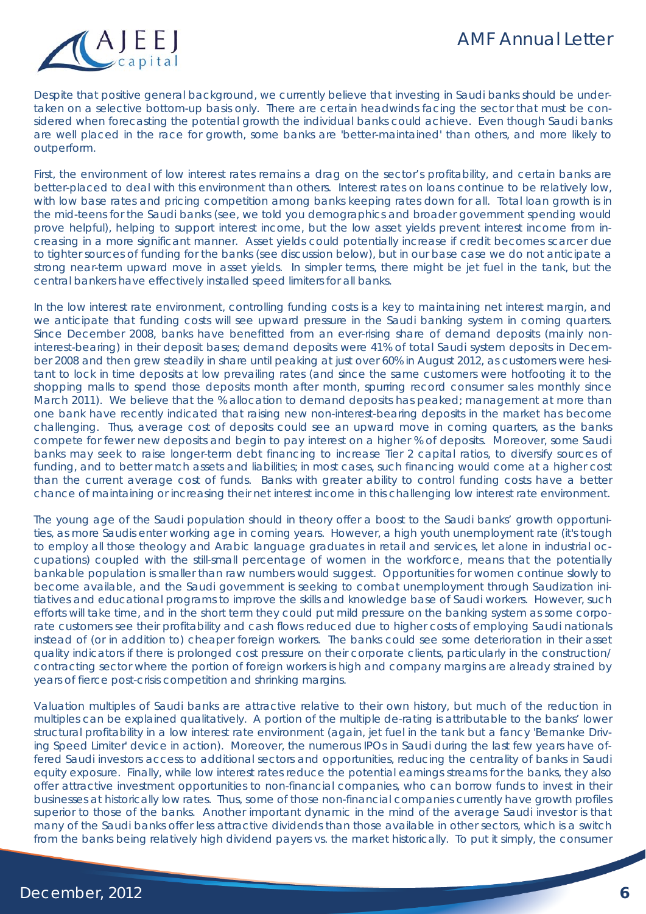

Despite that positive general background, we currently believe that investing in Saudi banks should be undertaken on a selective bottom-up basis only. There are certain headwinds facing the sector that must be considered when forecasting the potential growth the individual banks could achieve. Even though Saudi banks are well placed in the race for growth, some banks are 'better-maintained' than others, and more likely to outperform.

First, the environment of low interest rates remains a drag on the sector's profitability, and certain banks are better-placed to deal with this environment than others. Interest rates on loans continue to be relatively low, with low base rates and pricing competition among banks keeping rates down for all. Total loan growth is in the mid-teens for the Saudi banks (see, we told you demographics and broader government spending would prove helpful), helping to support interest income, but the low asset yields prevent interest income from increasing in a more significant manner. Asset yields could potentially increase if credit becomes scarcer due to tighter sources of funding for the banks (see discussion below), but in our base case we do not anticipate a strong near-term upward move in asset yields. In simpler terms, there might be jet fuel in the tank, but the central bankers have effectively installed speed limiters for all banks.

In the low interest rate environment, controlling funding costs is a key to maintaining net interest margin, and we anticipate that funding costs will see upward pressure in the Saudi banking system in coming quarters. Since December 2008, banks have benefitted from an ever-rising share of demand deposits (mainly noninterest-bearing) in their deposit bases; demand deposits were 41% of total Saudi system deposits in December 2008 and then grew steadily in share until peaking at just over 60% in August 2012, as customers were hesitant to lock in time deposits at low prevailing rates (and since the same customers were hotfooting it to the shopping malls to spend those deposits month after month, spurring record consumer sales monthly since March 2011). We believe that the % allocation to demand deposits has peaked; management at more than one bank have recently indicated that raising new non-interest-bearing deposits in the market has become challenging. Thus, average cost of deposits could see an upward move in coming quarters, as the banks compete for fewer new deposits and begin to pay interest on a higher % of deposits. Moreover, some Saudi banks may seek to raise longer-term debt financing to increase Tier 2 capital ratios, to diversify sources of funding, and to better match assets and liabilities; in most cases, such financing would come at a higher cost than the current average cost of funds. Banks with greater ability to control funding costs have a better chance of maintaining or increasing their net interest income in this challenging low interest rate environment.

The young age of the Saudi population should in theory offer a boost to the Saudi banks' growth opportunities, as more Saudis enter working age in coming years. However, a high youth unemployment rate (it's tough to employ all those theology and Arabic language graduates in retail and services, let alone in industrial occupations) coupled with the still-small percentage of women in the workforce, means that the potentially bankable population is smaller than raw numbers would suggest. Opportunities for women continue slowly to become available, and the Saudi government is seeking to combat unemployment through Saudization initiatives and educational programs to improve the skills and knowledge base of Saudi workers. However, such efforts will take time, and in the short term they could put mild pressure on the banking system as some corporate customers see their profitability and cash flows reduced due to higher costs of employing Saudi nationals instead of (or in addition to) cheaper foreign workers. The banks could see some deterioration in their asset quality indicators if there is prolonged cost pressure on their corporate clients, particularly in the construction/ contracting sector where the portion of foreign workers is high and company margins are already strained by years of fierce post-crisis competition and shrinking margins.

Valuation multiples of Saudi banks are attractive relative to their own history, but much of the reduction in multiples can be explained qualitatively. A portion of the multiple de-rating is attributable to the banks' lower structural profitability in a low interest rate environment (again, jet fuel in the tank but a fancy 'Bernanke Driving Speed Limiter' device in action). Moreover, the numerous IPOs in Saudi during the last few years have offered Saudi investors access to additional sectors and opportunities, reducing the centrality of banks in Saudi equity exposure. Finally, while low interest rates reduce the potential earnings streams for the banks, they also offer attractive investment opportunities to non-financial companies, who can borrow funds to invest in their businesses at historically low rates. Thus, some of those non-financial companies currently have growth profiles superior to those of the banks. Another important dynamic in the mind of the average Saudi investor is that many of the Saudi banks offer less attractive dividends than those available in other sectors, which is a switch from the banks being relatively high dividend payers vs. the market historically. To put it simply, the consumer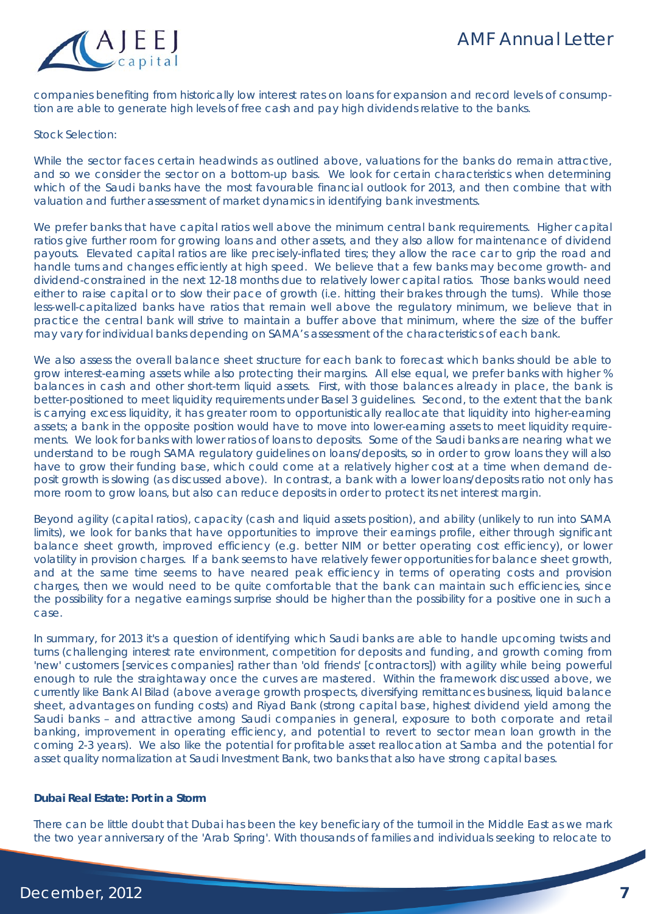

companies benefiting from historically low interest rates on loans for expansion and record levels of consumption are able to generate high levels of free cash and pay high dividends relative to the banks.

#### Stock Selection:

While the sector faces certain headwinds as outlined above, valuations for the banks do remain attractive, and so we consider the sector on a bottom-up basis. We look for certain characteristics when determining which of the Saudi banks have the most favourable financial outlook for 2013, and then combine that with valuation and further assessment of market dynamics in identifying bank investments.

We prefer banks that have capital ratios well above the minimum central bank requirements. Higher capital ratios give further room for growing loans and other assets, and they also allow for maintenance of dividend payouts. Elevated capital ratios are like precisely-inflated tires; they allow the race car to grip the road and handle turns and changes efficiently at high speed. We believe that a few banks may become growth- and dividend-constrained in the next 12-18 months due to relatively lower capital ratios. Those banks would need either to raise capital or to slow their pace of growth (i.e. hitting their brakes through the turns). While those less-well-capitalized banks have ratios that remain well above the regulatory minimum, we believe that in practice the central bank will strive to maintain a buffer above that minimum, where the size of the buffer may vary for individual banks depending on SAMA's assessment of the characteristics of each bank.

We also assess the overall balance sheet structure for each bank to forecast which banks should be able to grow interest-earning assets while also protecting their margins. All else equal, we prefer banks with higher % balances in cash and other short-term liquid assets. First, with those balances already in place, the bank is better-positioned to meet liquidity requirements under Basel 3 guidelines. Second, to the extent that the bank is carrying excess liquidity, it has greater room to opportunistically reallocate that liquidity into higher-earning assets; a bank in the opposite position would have to move into lower-earning assets to meet liquidity requirements. We look for banks with lower ratios of loans to deposits. Some of the Saudi banks are nearing what we understand to be rough SAMA regulatory guidelines on loans/deposits, so in order to grow loans they will also have to grow their funding base, which could come at a relatively higher cost at a time when demand deposit growth is slowing (as discussed above). In contrast, a bank with a lower loans/deposits ratio not only has more room to grow loans, but also can reduce deposits in order to protect its net interest margin.

Beyond agility (capital ratios), capacity (cash and liquid assets position), and ability (unlikely to run into SAMA limits), we look for banks that have opportunities to improve their earnings profile, either through significant balance sheet growth, improved efficiency (e.g. better NIM or better operating cost efficiency), or lower volatility in provision charges. If a bank seems to have relatively fewer opportunities for balance sheet growth, and at the same time seems to have neared peak efficiency in terms of operating costs and provision charges, then we would need to be quite comfortable that the bank can maintain such efficiencies, since the possibility for a negative earnings surprise should be higher than the possibility for a positive one in such a case.

In summary, for 2013 it's a question of identifying which Saudi banks are able to handle upcoming twists and turns (challenging interest rate environment, competition for deposits and funding, and growth coming from 'new' customers [services companies] rather than 'old friends' [contractors]) with agility while being powerful enough to rule the straightaway once the curves are mastered. Within the framework discussed above, we currently like Bank Al Bilad (above average growth prospects, diversifying remittances business, liquid balance sheet, advantages on funding costs) and Riyad Bank (strong capital base, highest dividend yield among the Saudi banks – and attractive among Saudi companies in general, exposure to both corporate and retail banking, improvement in operating efficiency, and potential to revert to sector mean loan growth in the coming 2-3 years). We also like the potential for profitable asset reallocation at Samba and the potential for asset quality normalization at Saudi Investment Bank, two banks that also have strong capital bases.

#### **Dubai Real Estate: Port in a Storm**

There can be little doubt that Dubai has been the key beneficiary of the turmoil in the Middle East as we mark the two year anniversary of the 'Arab Spring'. With thousands of families and individuals seeking to relocate to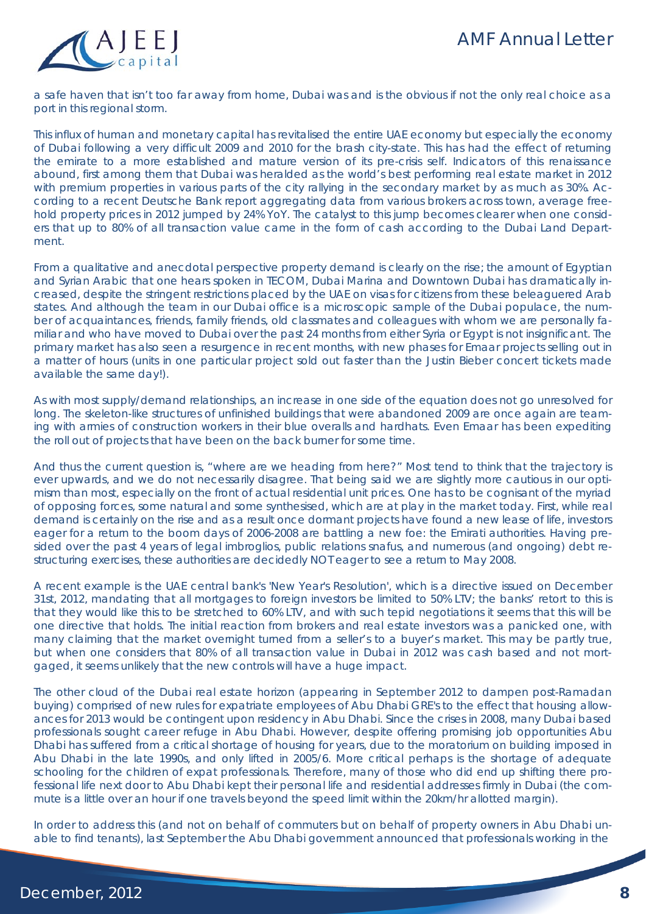

a safe haven that isn't too far away from home, Dubai was and is the obvious if not the only real choice as a port in this regional storm.

This influx of human and monetary capital has revitalised the entire UAE economy but especially the economy of Dubai following a very difficult 2009 and 2010 for the brash city-state. This has had the effect of returning the emirate to a more established and mature version of its pre-crisis self. Indicators of this renaissance abound, first among them that Dubai was heralded as the world's best performing real estate market in 2012 with premium properties in various parts of the city rallying in the secondary market by as much as 30%. According to a recent Deutsche Bank report aggregating data from various brokers across town, average freehold property prices in 2012 jumped by 24% YoY. The catalyst to this jump becomes clearer when one considers that up to 80% of all transaction value came in the form of cash according to the Dubai Land Department.

From a qualitative and anecdotal perspective property demand is clearly on the rise; the amount of Egyptian and Syrian Arabic that one hears spoken in TECOM, Dubai Marina and Downtown Dubai has dramatically increased, despite the stringent restrictions placed by the UAE on visas for citizens from these beleaguered Arab states. And although the team in our Dubai office is a microscopic sample of the Dubai populace, the number of acquaintances, friends, family friends, old classmates and colleagues with whom we are personally familiar and who have moved to Dubai over the past 24 months from either Syria or Egypt is not insignificant. The primary market has also seen a resurgence in recent months, with new phases for Emaar projects selling out in a matter of hours (units in one particular project sold out faster than the Justin Bieber concert tickets made available the same day!).

As with most supply/demand relationships, an increase in one side of the equation does not go unresolved for long. The skeleton-like structures of unfinished buildings that were abandoned 2009 are once again are teaming with armies of construction workers in their blue overalls and hardhats. Even Emaar has been expediting the roll out of projects that have been on the back burner for some time.

And thus the current question is, "where are we heading from here?" Most tend to think that the trajectory is ever upwards, and we do not necessarily disagree. That being said we are slightly more cautious in our optimism than most, especially on the front of actual residential unit prices. One has to be cognisant of the myriad of opposing forces, some natural and some synthesised, which are at play in the market today. First, while real demand is certainly on the rise and as a result once dormant projects have found a new lease of life, investors eager for a return to the boom days of 2006-2008 are battling a new foe: the Emirati authorities. Having presided over the past 4 years of legal imbroglios, public relations snafus, and numerous (and ongoing) debt restructuring exercises, these authorities are decidedly NOT eager to see a return to May 2008.

A recent example is the UAE central bank's 'New Year's Resolution', which is a directive issued on December 31st, 2012, mandating that all mortgages to foreign investors be limited to 50% LTV; the banks' retort to this is that they would like this to be stretched to 60% LTV, and with such tepid negotiations it seems that this will be one directive that holds. The initial reaction from brokers and real estate investors was a panicked one, with many claiming that the market overnight turned from a seller's to a buyer's market. This may be partly true, but when one considers that 80% of all transaction value in Dubai in 2012 was cash based and not mortgaged, it seems unlikely that the new controls will have a huge impact.

The other cloud of the Dubai real estate horizon (appearing in September 2012 to dampen post-Ramadan buying) comprised of new rules for expatriate employees of Abu Dhabi GRE's to the effect that housing allowances for 2013 would be contingent upon residency in Abu Dhabi. Since the crises in 2008, many Dubai based professionals sought career refuge in Abu Dhabi. However, despite offering promising job opportunities Abu Dhabi has suffered from a critical shortage of housing for years, due to the moratorium on building imposed in Abu Dhabi in the late 1990s, and only lifted in 2005/6. More critical perhaps is the shortage of adequate schooling for the children of expat professionals. Therefore, many of those who did end up shifting there professional life next door to Abu Dhabi kept their personal life and residential addresses firmly in Dubai (the commute is a little over an hour if one travels beyond the speed limit within the 20km/hr allotted margin).

In order to address this (and not on behalf of commuters but on behalf of property owners in Abu Dhabi unable to find tenants), last September the Abu Dhabi government announced that professionals working in the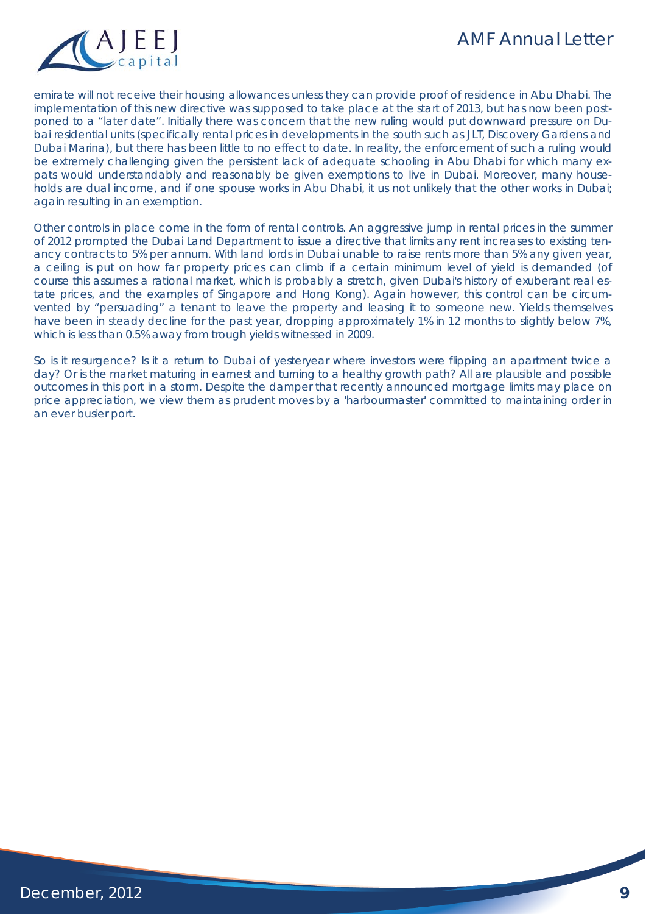

emirate will not receive their housing allowances unless they can provide proof of residence in Abu Dhabi. The implementation of this new directive was supposed to take place at the start of 2013, but has now been postponed to a "later date". Initially there was concern that the new ruling would put downward pressure on Dubai residential units (specifically rental prices in developments in the south such as JLT, Discovery Gardens and Dubai Marina), but there has been little to no effect to date. In reality, the enforcement of such a ruling would be extremely challenging given the persistent lack of adequate schooling in Abu Dhabi for which many expats would understandably and reasonably be given exemptions to live in Dubai. Moreover, many households are dual income, and if one spouse works in Abu Dhabi, it us not unlikely that the other works in Dubai; again resulting in an exemption.

Other controls in place come in the form of rental controls. An aggressive jump in rental prices in the summer of 2012 prompted the Dubai Land Department to issue a directive that limits any rent increases to existing tenancy contracts to 5% per annum. With land lords in Dubai unable to raise rents more than 5% any given year, a ceiling is put on how far property prices can climb if a certain minimum level of yield is demanded (of course this assumes a rational market, which is probably a stretch, given Dubai's history of exuberant real estate prices, and the examples of Singapore and Hong Kong). Again however, this control can be circumvented by "persuading" a tenant to leave the property and leasing it to someone new. Yields themselves have been in steady decline for the past year, dropping approximately 1% in 12 months to slightly below 7%, which is less than 0.5% away from trough yields witnessed in 2009.

So is it resurgence? Is it a return to Dubai of yesteryear where investors were flipping an apartment twice a day? Or is the market maturing in earnest and turning to a healthy growth path? All are plausible and possible outcomes in this port in a storm. Despite the damper that recently announced mortgage limits may place on price appreciation, we view them as prudent moves by a 'harbourmaster' committed to maintaining order in an ever busier port.